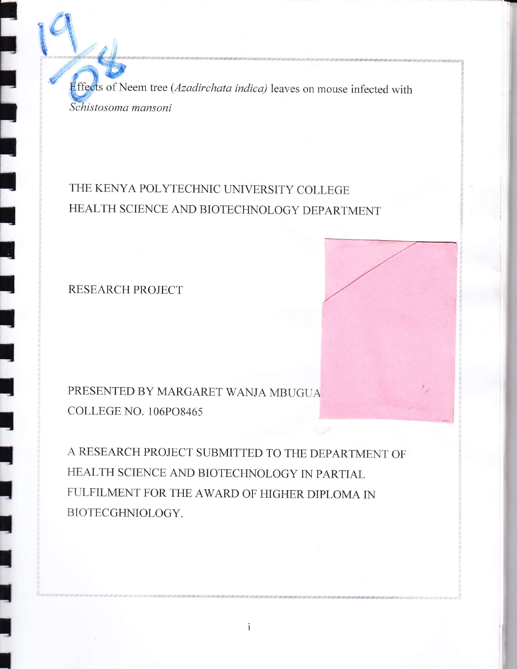*Effects* of Neem tree (*Azadirchata indica*) leaves on mouse infected with Schistosoma mansoni

## THE KENYA POLYTECHNIC UNIVERSITY COLLEGE HEALTH SCIENCE AND BIOTECHNOLOGY DEPARTMENT

**RESEARCH PROJECT** 

## PRESENTED BY MARGARET WANJA MBUGUA COLLEGE NO. 106PO8465

A RESEARCH PROJECT SUBMITTED TO THE DEPARTMENT OF HEALTH SCIENCE AND BIOTECHNOLOGY IN PARTIAL FULFILMENT FOR THE AWARD OF HIGHER DIPLOMA IN BIOTECGHNIOLOGY.